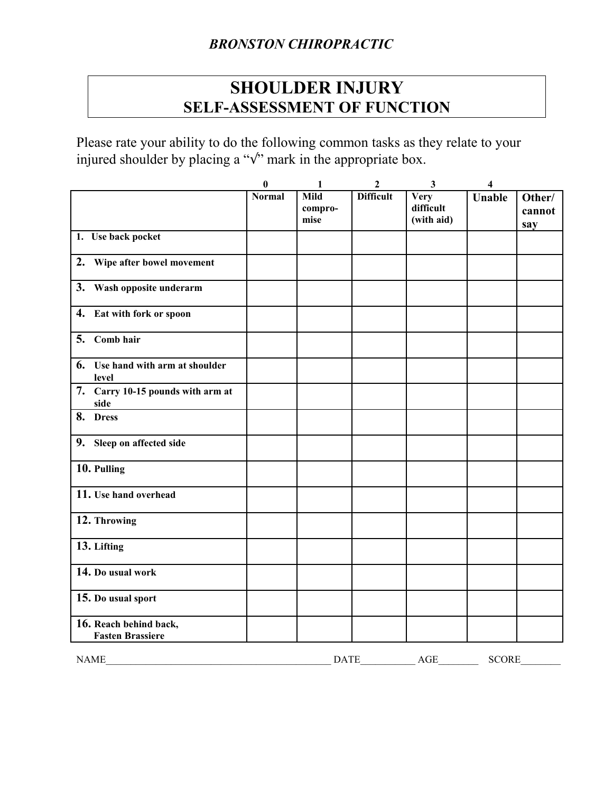## *BRONSTON CHIROPRACTIC*

## **SHOULDER INJURY SELF-ASSESSMENT OF FUNCTION**

Please rate your ability to do the following common tasks as they relate to your injured shoulder by placing a " $\sqrt{ }$ " mark in the appropriate box.

|                                                   | $\boldsymbol{0}$ | 1               | $\boldsymbol{2}$ | $\mathbf{3}$      | $\overline{\mathbf{4}}$ |                  |
|---------------------------------------------------|------------------|-----------------|------------------|-------------------|-------------------------|------------------|
|                                                   | <b>Normal</b>    | Mild<br>compro- | <b>Difficult</b> | Very<br>difficult | <b>Unable</b>           | Other/<br>cannot |
|                                                   |                  | mise            |                  | (with aid)        |                         | say              |
| 1. Use back pocket                                |                  |                 |                  |                   |                         |                  |
| 2. Wipe after bowel movement                      |                  |                 |                  |                   |                         |                  |
| 3. Wash opposite underarm                         |                  |                 |                  |                   |                         |                  |
| 4.<br>Eat with fork or spoon                      |                  |                 |                  |                   |                         |                  |
| 5.<br>Comb hair                                   |                  |                 |                  |                   |                         |                  |
| 6. Use hand with arm at shoulder<br>level         |                  |                 |                  |                   |                         |                  |
| 7. Carry 10-15 pounds with arm at<br>side         |                  |                 |                  |                   |                         |                  |
| 8.<br><b>Dress</b>                                |                  |                 |                  |                   |                         |                  |
| 9. Sleep on affected side                         |                  |                 |                  |                   |                         |                  |
| 10. Pulling                                       |                  |                 |                  |                   |                         |                  |
| 11. Use hand overhead                             |                  |                 |                  |                   |                         |                  |
| 12. Throwing                                      |                  |                 |                  |                   |                         |                  |
| 13. Lifting                                       |                  |                 |                  |                   |                         |                  |
| 14. Do usual work                                 |                  |                 |                  |                   |                         |                  |
| 15. Do usual sport                                |                  |                 |                  |                   |                         |                  |
| 16. Reach behind back,<br><b>Fasten Brassiere</b> |                  |                 |                  |                   |                         |                  |
| <b>NAME</b>                                       |                  | <b>DATE</b>     |                  | AGE               | <b>SCORE</b>            |                  |